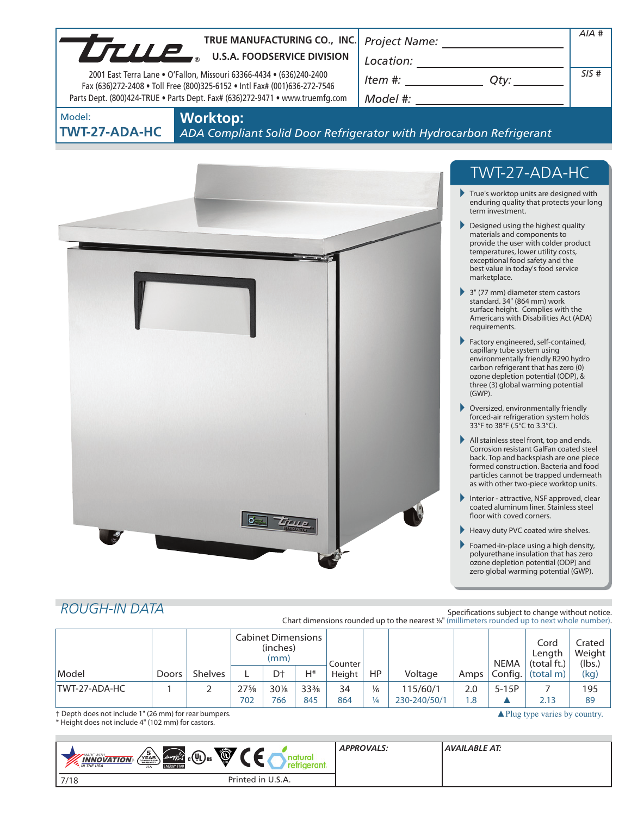| U.S.A. FOODSERVICE DIVISION<br>SIS#<br>$Item #:$ Qty:<br>2001 East Terra Lane . O'Fallon, Missouri 63366-4434 . (636)240-2400<br>Fax (636)272-2408 . Toll Free (800)325-6152 . Intl Fax# (001)636-272-7546<br>Parts Dept. (800)424-TRUE . Parts Dept. Fax# (636)272-9471 . www.truemfg.com<br><b>Worktop:</b><br>TWT-27-ADA-HC<br>ADA Compliant Solid Door Refrigerator with Hydrocarbon Refrigerant<br>TWT-27-ADA-HC<br>$\blacktriangleright$ True's worktop units are designed with<br>enduring quality that protects your long<br>term investment.<br>Designed using the highest quality<br>materials and components to<br>provide the user with colder product<br>temperatures, lower utility costs,<br>exceptional food safety and the<br>best value in today's food service<br>marketplace.<br>$\blacktriangleright$ 3" (77 mm) diameter stem castors<br>standard. 34" (864 mm) work<br>surface height. Complies with the<br>Americans with Disabilities Act (ADA)<br>requirements.<br>Factory engineered, self-contained,<br>capillary tube system using<br>environmentally friendly R290 hydro<br>carbon refrigerant that has zero (0)<br>ozone depletion potential (ODP), &<br>three (3) global warming potential<br>$(GWP)$ .<br>▶ Oversized, environmentally friendly<br>forced-air refrigeration system holds<br>33°F to 38°F (.5°C to 3.3°C).<br>All stainless steel front, top and ends.<br>Corrosion resistant GalFan coated steel<br>back. Top and backsplash are one piece<br>formed construction. Bacteria and food<br>particles cannot be trapped underneath<br>as with other two-piece worktop units.<br>Interior - attractive, NSF approved, clear<br>coated aluminum liner. Stainless steel<br>floor with coved corners.<br>Heavy duty PVC coated wire shelves.<br>Foamed-in-place using a high density,<br>polyurethane insulation that has zero<br>ozone depletion potential (ODP) and<br>zero global warming potential (GWP).<br><b>ROUGH-IN DATA</b><br>Specifications subject to change without notice.<br>Chart dimensions rounded up to the nearest 1/8" (millimeters rounded up to next whole number).<br><b>Cabinet Dimensions</b><br>Cord<br>Crated<br>(inches)<br>Weight<br>Length<br>(mm)<br><b>NEMA</b><br>(total ft.)<br>(lbs.)<br>Counter<br><b>Shelves</b><br>D <sup>+</sup><br>$H^*$<br>HP<br>Config.<br>(kg)<br>L<br>Voltage<br>(total m)<br>Doors<br>Height<br>Amps<br>TWT-27-ADA-HC<br>2<br>$27\frac{5}{8}$<br>$5-15P$<br>1<br>$30\%$<br>$33\frac{3}{8}$<br>34<br>$\frac{1}{6}$<br>115/60/1<br>7<br>195<br>2.0<br>702<br>845<br>864<br>$\frac{1}{4}$<br>230-240/50/1<br>2.13<br>89<br>766<br>1.8<br>▲ |        |  |  | TRUE MANUFACTURING CO., INC. |  |  |  |  |  | AIA # |
|-------------------------------------------------------------------------------------------------------------------------------------------------------------------------------------------------------------------------------------------------------------------------------------------------------------------------------------------------------------------------------------------------------------------------------------------------------------------------------------------------------------------------------------------------------------------------------------------------------------------------------------------------------------------------------------------------------------------------------------------------------------------------------------------------------------------------------------------------------------------------------------------------------------------------------------------------------------------------------------------------------------------------------------------------------------------------------------------------------------------------------------------------------------------------------------------------------------------------------------------------------------------------------------------------------------------------------------------------------------------------------------------------------------------------------------------------------------------------------------------------------------------------------------------------------------------------------------------------------------------------------------------------------------------------------------------------------------------------------------------------------------------------------------------------------------------------------------------------------------------------------------------------------------------------------------------------------------------------------------------------------------------------------------------------------------------------------------------------------------------------------------------------------------------------------------------------------------------------------------------------------------------------------------------------------------------------------------------------------------------------------------------------------------------------------------------------------------------------------------------------------------------------------------------------------------------------------------------------------------------------------------------------|--------|--|--|------------------------------|--|--|--|--|--|-------|
|                                                                                                                                                                                                                                                                                                                                                                                                                                                                                                                                                                                                                                                                                                                                                                                                                                                                                                                                                                                                                                                                                                                                                                                                                                                                                                                                                                                                                                                                                                                                                                                                                                                                                                                                                                                                                                                                                                                                                                                                                                                                                                                                                                                                                                                                                                                                                                                                                                                                                                                                                                                                                                                 |        |  |  |                              |  |  |  |  |  |       |
|                                                                                                                                                                                                                                                                                                                                                                                                                                                                                                                                                                                                                                                                                                                                                                                                                                                                                                                                                                                                                                                                                                                                                                                                                                                                                                                                                                                                                                                                                                                                                                                                                                                                                                                                                                                                                                                                                                                                                                                                                                                                                                                                                                                                                                                                                                                                                                                                                                                                                                                                                                                                                                                 |        |  |  |                              |  |  |  |  |  |       |
|                                                                                                                                                                                                                                                                                                                                                                                                                                                                                                                                                                                                                                                                                                                                                                                                                                                                                                                                                                                                                                                                                                                                                                                                                                                                                                                                                                                                                                                                                                                                                                                                                                                                                                                                                                                                                                                                                                                                                                                                                                                                                                                                                                                                                                                                                                                                                                                                                                                                                                                                                                                                                                                 |        |  |  |                              |  |  |  |  |  |       |
|                                                                                                                                                                                                                                                                                                                                                                                                                                                                                                                                                                                                                                                                                                                                                                                                                                                                                                                                                                                                                                                                                                                                                                                                                                                                                                                                                                                                                                                                                                                                                                                                                                                                                                                                                                                                                                                                                                                                                                                                                                                                                                                                                                                                                                                                                                                                                                                                                                                                                                                                                                                                                                                 | Model: |  |  |                              |  |  |  |  |  |       |
|                                                                                                                                                                                                                                                                                                                                                                                                                                                                                                                                                                                                                                                                                                                                                                                                                                                                                                                                                                                                                                                                                                                                                                                                                                                                                                                                                                                                                                                                                                                                                                                                                                                                                                                                                                                                                                                                                                                                                                                                                                                                                                                                                                                                                                                                                                                                                                                                                                                                                                                                                                                                                                                 |        |  |  |                              |  |  |  |  |  |       |
|                                                                                                                                                                                                                                                                                                                                                                                                                                                                                                                                                                                                                                                                                                                                                                                                                                                                                                                                                                                                                                                                                                                                                                                                                                                                                                                                                                                                                                                                                                                                                                                                                                                                                                                                                                                                                                                                                                                                                                                                                                                                                                                                                                                                                                                                                                                                                                                                                                                                                                                                                                                                                                                 |        |  |  |                              |  |  |  |  |  |       |
|                                                                                                                                                                                                                                                                                                                                                                                                                                                                                                                                                                                                                                                                                                                                                                                                                                                                                                                                                                                                                                                                                                                                                                                                                                                                                                                                                                                                                                                                                                                                                                                                                                                                                                                                                                                                                                                                                                                                                                                                                                                                                                                                                                                                                                                                                                                                                                                                                                                                                                                                                                                                                                                 |        |  |  |                              |  |  |  |  |  |       |
|                                                                                                                                                                                                                                                                                                                                                                                                                                                                                                                                                                                                                                                                                                                                                                                                                                                                                                                                                                                                                                                                                                                                                                                                                                                                                                                                                                                                                                                                                                                                                                                                                                                                                                                                                                                                                                                                                                                                                                                                                                                                                                                                                                                                                                                                                                                                                                                                                                                                                                                                                                                                                                                 |        |  |  |                              |  |  |  |  |  |       |
|                                                                                                                                                                                                                                                                                                                                                                                                                                                                                                                                                                                                                                                                                                                                                                                                                                                                                                                                                                                                                                                                                                                                                                                                                                                                                                                                                                                                                                                                                                                                                                                                                                                                                                                                                                                                                                                                                                                                                                                                                                                                                                                                                                                                                                                                                                                                                                                                                                                                                                                                                                                                                                                 |        |  |  |                              |  |  |  |  |  |       |
|                                                                                                                                                                                                                                                                                                                                                                                                                                                                                                                                                                                                                                                                                                                                                                                                                                                                                                                                                                                                                                                                                                                                                                                                                                                                                                                                                                                                                                                                                                                                                                                                                                                                                                                                                                                                                                                                                                                                                                                                                                                                                                                                                                                                                                                                                                                                                                                                                                                                                                                                                                                                                                                 |        |  |  |                              |  |  |  |  |  |       |
|                                                                                                                                                                                                                                                                                                                                                                                                                                                                                                                                                                                                                                                                                                                                                                                                                                                                                                                                                                                                                                                                                                                                                                                                                                                                                                                                                                                                                                                                                                                                                                                                                                                                                                                                                                                                                                                                                                                                                                                                                                                                                                                                                                                                                                                                                                                                                                                                                                                                                                                                                                                                                                                 |        |  |  |                              |  |  |  |  |  |       |
|                                                                                                                                                                                                                                                                                                                                                                                                                                                                                                                                                                                                                                                                                                                                                                                                                                                                                                                                                                                                                                                                                                                                                                                                                                                                                                                                                                                                                                                                                                                                                                                                                                                                                                                                                                                                                                                                                                                                                                                                                                                                                                                                                                                                                                                                                                                                                                                                                                                                                                                                                                                                                                                 |        |  |  |                              |  |  |  |  |  |       |
|                                                                                                                                                                                                                                                                                                                                                                                                                                                                                                                                                                                                                                                                                                                                                                                                                                                                                                                                                                                                                                                                                                                                                                                                                                                                                                                                                                                                                                                                                                                                                                                                                                                                                                                                                                                                                                                                                                                                                                                                                                                                                                                                                                                                                                                                                                                                                                                                                                                                                                                                                                                                                                                 |        |  |  |                              |  |  |  |  |  |       |
|                                                                                                                                                                                                                                                                                                                                                                                                                                                                                                                                                                                                                                                                                                                                                                                                                                                                                                                                                                                                                                                                                                                                                                                                                                                                                                                                                                                                                                                                                                                                                                                                                                                                                                                                                                                                                                                                                                                                                                                                                                                                                                                                                                                                                                                                                                                                                                                                                                                                                                                                                                                                                                                 |        |  |  |                              |  |  |  |  |  |       |
|                                                                                                                                                                                                                                                                                                                                                                                                                                                                                                                                                                                                                                                                                                                                                                                                                                                                                                                                                                                                                                                                                                                                                                                                                                                                                                                                                                                                                                                                                                                                                                                                                                                                                                                                                                                                                                                                                                                                                                                                                                                                                                                                                                                                                                                                                                                                                                                                                                                                                                                                                                                                                                                 |        |  |  |                              |  |  |  |  |  |       |
|                                                                                                                                                                                                                                                                                                                                                                                                                                                                                                                                                                                                                                                                                                                                                                                                                                                                                                                                                                                                                                                                                                                                                                                                                                                                                                                                                                                                                                                                                                                                                                                                                                                                                                                                                                                                                                                                                                                                                                                                                                                                                                                                                                                                                                                                                                                                                                                                                                                                                                                                                                                                                                                 |        |  |  |                              |  |  |  |  |  |       |
|                                                                                                                                                                                                                                                                                                                                                                                                                                                                                                                                                                                                                                                                                                                                                                                                                                                                                                                                                                                                                                                                                                                                                                                                                                                                                                                                                                                                                                                                                                                                                                                                                                                                                                                                                                                                                                                                                                                                                                                                                                                                                                                                                                                                                                                                                                                                                                                                                                                                                                                                                                                                                                                 |        |  |  |                              |  |  |  |  |  |       |
|                                                                                                                                                                                                                                                                                                                                                                                                                                                                                                                                                                                                                                                                                                                                                                                                                                                                                                                                                                                                                                                                                                                                                                                                                                                                                                                                                                                                                                                                                                                                                                                                                                                                                                                                                                                                                                                                                                                                                                                                                                                                                                                                                                                                                                                                                                                                                                                                                                                                                                                                                                                                                                                 |        |  |  |                              |  |  |  |  |  |       |
|                                                                                                                                                                                                                                                                                                                                                                                                                                                                                                                                                                                                                                                                                                                                                                                                                                                                                                                                                                                                                                                                                                                                                                                                                                                                                                                                                                                                                                                                                                                                                                                                                                                                                                                                                                                                                                                                                                                                                                                                                                                                                                                                                                                                                                                                                                                                                                                                                                                                                                                                                                                                                                                 | Model  |  |  |                              |  |  |  |  |  |       |
|                                                                                                                                                                                                                                                                                                                                                                                                                                                                                                                                                                                                                                                                                                                                                                                                                                                                                                                                                                                                                                                                                                                                                                                                                                                                                                                                                                                                                                                                                                                                                                                                                                                                                                                                                                                                                                                                                                                                                                                                                                                                                                                                                                                                                                                                                                                                                                                                                                                                                                                                                                                                                                                 |        |  |  |                              |  |  |  |  |  |       |

\* Height does not include 4" (102 mm) for castors.

|                                                                                                                                                                                       | <b>APPROVALS:</b> | AVAILABLE AT: |
|---------------------------------------------------------------------------------------------------------------------------------------------------------------------------------------|-------------------|---------------|
| Ö<br>$\sqrt{\frac{5}{\text{c}^{\text{OMPHESLOF}}_{\text{OMPHESLOF}}}}$<br>$_{c}(\Psi _{\text{L}})_{\text{us}}$<br><b>MADE WITH</b><br>energy<br><b>INNOVATION</b><br><b>N</b> THE USA |                   |               |
| <b>ENERGY STAR</b><br>USA                                                                                                                                                             |                   |               |
| Printed in U.S.A.<br>7/18                                                                                                                                                             |                   |               |